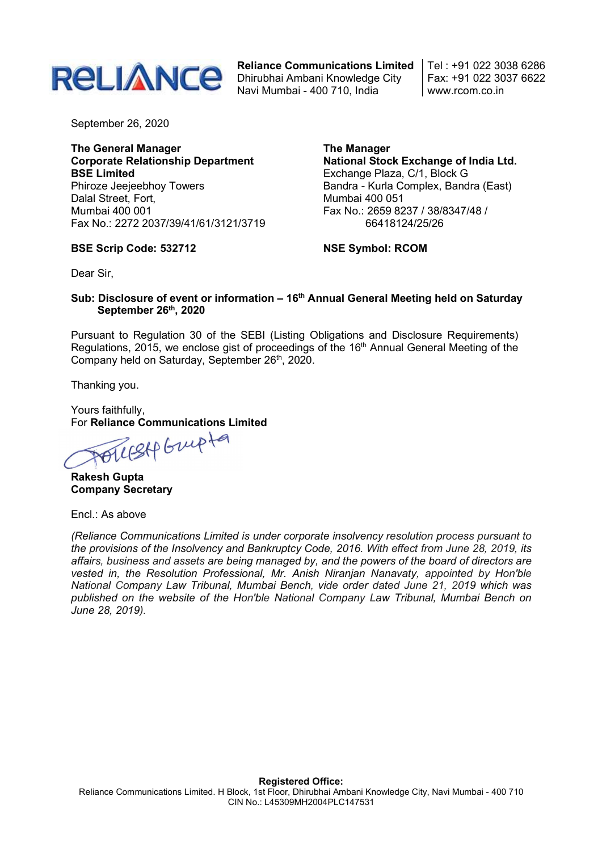

Reliance Communications Limited Dhirubhai Ambani Knowledge City Navi Mumbai - 400 710, India

Tel : +91 022 3038 6286 Fax: +91 022 3037 6622 www.rcom.co.in

September 26, 2020

The General Manager Corporate Relationship Department BSE Limited Phiroze Jeejeebhoy Towers Dalal Street, Fort, Mumbai 400 001 Fax No.: 2272 2037/39/41/61/3121/3719

### BSE Scrip Code: 532712

The Manager National Stock Exchange of India Ltd. Exchange Plaza, C/1, Block G Bandra - Kurla Complex, Bandra (East) Mumbai 400 051 Fax No.: 2659 8237 / 38/8347/48 / 66418124/25/26

NSE Symbol: RCOM

Dear Sir,

## Sub: Disclosure of event or information – 16<sup>th</sup> Annual General Meeting held on Saturday September 26th, 2020

Pursuant to Regulation 30 of the SEBI (Listing Obligations and Disclosure Requirements) Regulations, 2015, we enclose gist of proceedings of the 16<sup>th</sup> Annual General Meeting of the Company held on Saturday, September 26th, 2020.

Thanking you.

Yours faithfully,

For Reliance Communications Limited<br>All Step Grup to

Rakesh Gupta Company Secretary

Encl.: As above

(Reliance Communications Limited is under corporate insolvency resolution process pursuant to the provisions of the Insolvency and Bankruptcy Code, 2016. With effect from June 28, 2019, its affairs, business and assets are being managed by, and the powers of the board of directors are vested in, the Resolution Professional, Mr. Anish Niranjan Nanavaty, appointed by Hon'ble National Company Law Tribunal, Mumbai Bench, vide order dated June 21, 2019 which was published on the website of the Hon'ble National Company Law Tribunal, Mumbai Bench on June 28, 2019).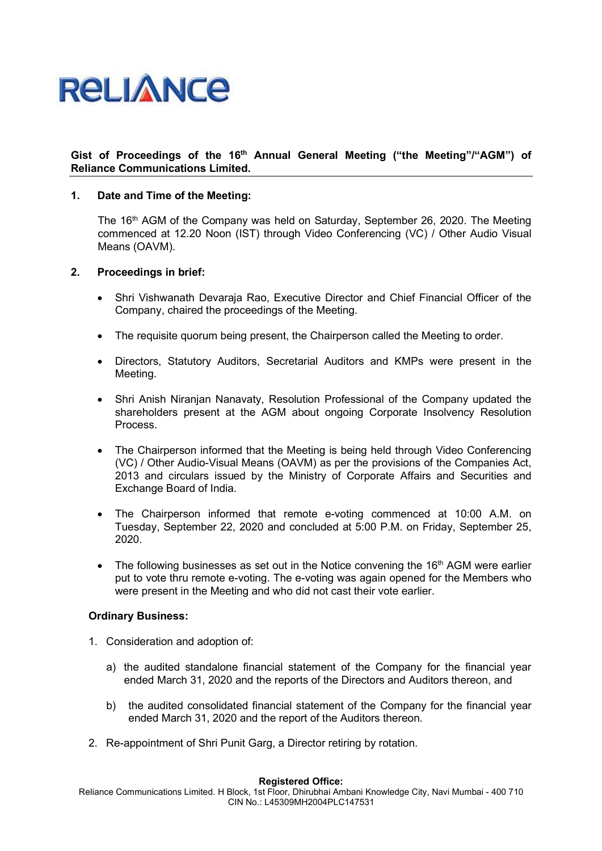# **RELIANCE**

## Gist of Proceedings of the 16<sup>th</sup> Annual General Meeting ("the Meeting"/"AGM") of Reliance Communications Limited.

## 1. Date and Time of the Meeting:

The 16<sup>th</sup> AGM of the Company was held on Saturday, September 26, 2020. The Meeting commenced at 12.20 Noon (IST) through Video Conferencing (VC) / Other Audio Visual Means (OAVM).

## 2. Proceedings in brief:

- Shri Vishwanath Devaraja Rao, Executive Director and Chief Financial Officer of the Company, chaired the proceedings of the Meeting.
- The requisite quorum being present, the Chairperson called the Meeting to order.
- Directors, Statutory Auditors, Secretarial Auditors and KMPs were present in the Meeting.
- Shri Anish Niranjan Nanavaty, Resolution Professional of the Company updated the shareholders present at the AGM about ongoing Corporate Insolvency Resolution Process.
- The Chairperson informed that the Meeting is being held through Video Conferencing (VC) / Other Audio-Visual Means (OAVM) as per the provisions of the Companies Act, 2013 and circulars issued by the Ministry of Corporate Affairs and Securities and Exchange Board of India.
- The Chairperson informed that remote e-voting commenced at 10:00 A.M. on Tuesday, September 22, 2020 and concluded at 5:00 P.M. on Friday, September 25, 2020.
- $\bullet$  The following businesses as set out in the Notice convening the 16<sup>th</sup> AGM were earlier put to vote thru remote e-voting. The e-voting was again opened for the Members who were present in the Meeting and who did not cast their vote earlier.

### Ordinary Business:

- 1. Consideration and adoption of:
	- a) the audited standalone financial statement of the Company for the financial year ended March 31, 2020 and the reports of the Directors and Auditors thereon, and
	- b) the audited consolidated financial statement of the Company for the financial year ended March 31, 2020 and the report of the Auditors thereon.
- 2. Re-appointment of Shri Punit Garg, a Director retiring by rotation.

#### Registered Office:

Reliance Communications Limited. H Block, 1st Floor, Dhirubhai Ambani Knowledge City, Navi Mumbai - 400 710 CIN No.: L45309MH2004PLC147531